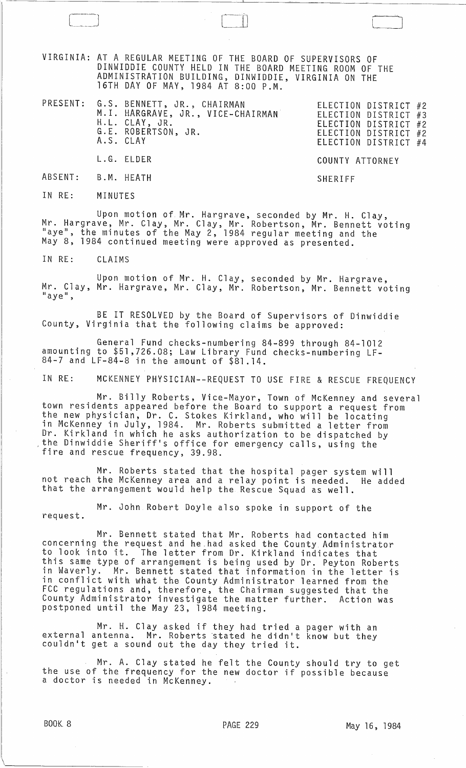VIRGINIA: AT A REGULAR MEETING OF THE BOARD OF SUPERVISORS OF DINWIDDIE COUNTY HELD IN THE BOARD MEETING ROOM OF THE ADMINISTRATION BUILDING, DINWIDDIE, VIRGINIA ON THE 16TH DAY OF MAY, 1984 AT 8:00 P.M.

 $\vert$ 

PRESENT: G.S. BENNETT, JR., CHAIRMAN ELECTION DISTRICT #2 ELECTION DISTRICT #3 ELECTION DISTRICT #2 ELECTION DISTRICT #2 ELECTION DISTRICT #4 M.I. HARGRAVE, JR., VICE-CHAIRMAN H.L. CLAY, JR. G.E. ROBERTSON, JR. A.S. CLAY L.G. ELDER COUNTY ATTORNEY

ABSENT: B. M. HEATH

IN RE: MINUTES

Upon motion of Mr. Hargrave, seconded by Mr. H. Clay, Mr. Hargrave, Mr. Clay, Mr. Clay, Mr. Robertson, Mr. Bennett voting<br>"aye", the minutes of the May 2, 1984 regular meeting and the May 8, 1984 continued meeting were approved as presented.

SHERIFF

IN RE: CLAIMS

Upon motion of Mr. H. Clay, seconded by Mr. Hargrave, Mr. Clay, Mr. Hargrave, Mr. Clay, Mr. Robertson, Mr. Bennett voting<br>"aye",

BE IT RESOLVED by the Board of Supervisors of Dinwiddie County, Virginia that the following claims be approved:

General Fund checks-numbering 84-899 through 84-1012 amounting to \$51,726.08; Law Library Fund checks-numbering LF-84-7 and LF-84-8 in the amount of \$81.14.

IN RE: MCKENNEY PHYSICIAN--REQUEST TO USE FIRE & RESCUE FREQUENCY

Mr. Billy Roberts, Vice-Mayor, Town of McKenney and several town residents appeared before the Board to support a request from the new physician, Dr. C. Stokes Kirkland, who will be locating in McKenney in July, 1984. Mr. Roberts submitted a letter from Dr. Kirkland in which he asks authorization to be dispatched by ,the Dinwiddie Sheriff's office for emergency calls, using the fire and rescue frequency, 39.98.

Mr. Roberts stated that the hospital pager system will not reach the McKenney area and a relay point is needed. He added that the arrangement would help the Rescue Squad as well.

Mr. John Robert Doyle also spoke in support of the request.

Mr. Bennett stated that Mr. Roberts had contacted him concerning the request and he\_had asked the County Administrator to look into it. The letter from Dr. Kirkland indicates that this same type of arrangement is being used by Dr. Peyton Roberts in Waverly. Mr. Bennett stated that information in the letter is in conflict with what the County Administrator learned from the FCC regulations and, therefore, the Chairman suggested that the County Administrator investigate the matter further. Action was postponed until the May 23, 1984 meeting.

Mr. H. Clay asked if they had tried a pager with an external antenna. Mr. Roberts 'stated he didn't know but they couldn't get a sound out the day they tried it.

Mr. A. Clay stated he felt the County should try to get the use of the frequency for the new doctor if possible because a doctor is needed in McKenney.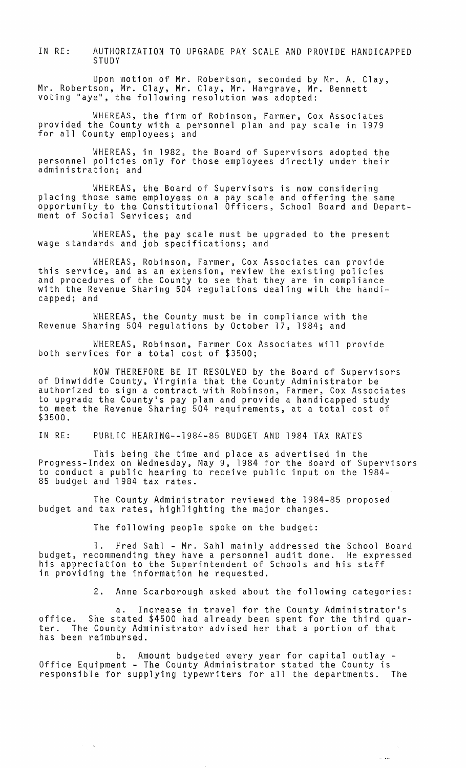IN RE: AUTHORIZATION TO UPGRADE PAY SCALE AND PROVIDE HANDICAPPED STUDY

Upon motion of Mr. Robertson, seconded by Mr. A. Clay, Mr. Robertson~ Mr. Clay, Mr. Clay, Mr. Hargrave, Mr. Bennett voting "aye", the. following resolution was adopted:

WHEREAS, the firm of Robinson, Farmer, Cox Associates provided the County with a personnel plan and pay scale in 1979 for all County employees; and

WHEREAS, in 1982, the Board of Supervisors adopted the personnel policies only for those employees directly under their administration; and

WHEREAS, the Board of Supervisors is now considering placing those same employees on a pay scale and offering the same opportunity to the Constitutional Officers, School Board and Department of Social Services; and

WHEREAS, the pay scale must be upgraded to the present wage standards and job specifications; and

WHEREAS, Robinson, Farmer, Cox Associates can provide this service, and as an extension, review the existing policies and procedures of the County to see that they are in compliance with the Revenue Sharing 504 regulations dealing with the handicapped; and

WHEREAS, the County must be in compliance with the Revenue Sharing 504 regulations by October 17, 1984; and

WHEREAS, Robinson, Farmer Cox Associates will provide both services for a total cost of \$3500;

NOW THEREFORE BE IT RESOLVED by the Board of Supervisors of Dinwiddie County, Virginia that the County Administrator be authorized to sign a contract with Robinson, Farmer, Cox Associates to upgrade the County·s pay plan and provide a handicapped study to meet the Revenue Sharing 504 requirements, at a total cost of \$3500.

IN RE: PUBLIC HEARING--1984-85 BUDGET AND 1984 TAX RATES

This being the time and place as advertised in the Progress-Index on Wednesday, May 9, 1984 for the Board of Supervisors to conduct a public hearing to receive public input on the 1984- 85 budget and 1984 tax rates.

The County Administrator reviewed the 1984-85 proposed budget and tax rates, highlighting the major changes.

The following people spoke on the budget:

1. Fred Sahl - Mr. Sahl mainly addressed the School Board budget, recommending they have a personnel audit done. He expressed his appreciation to the Superintendent of Schools and his staff in providing the information he requested.

2. Anne Scarborough asked about the following categories:

a. Increase in travel for the County Administrator·s office. She stated \$4500 had already been spent for the third quaroffice. She stated \$4500 had already been spent for the third quanglery.<br>ter. The County Administrator advised her that a portion of that has been reimbursed.

b. Amount budgeted every year for capital outlay - Office Equipment - The County Administrator stated the County is responsible for supplying typewriters for all the departments. The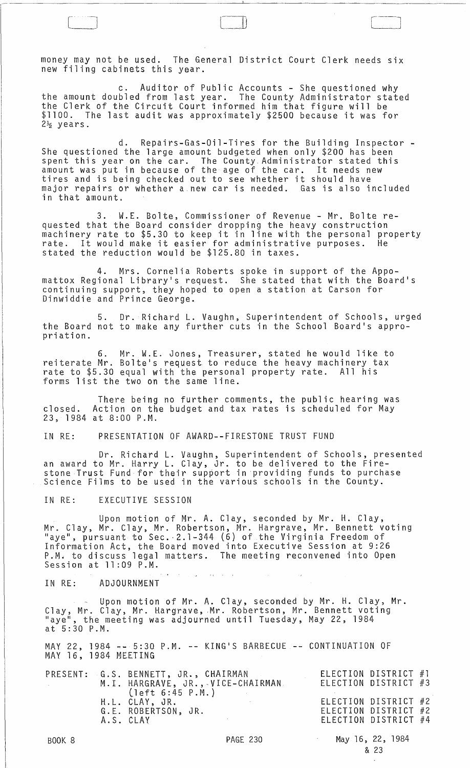money may not be used. The General District Court Clerk needs six new filing cabinets this year.

 $\begin{bmatrix} 1 & 1 & 1 \\ 1 & 1 & 1 \\ 1 & 1 & 1 \end{bmatrix}$ 

c. Auditor of Public Accounts - She questioned why the amount doubled from last year. The County Administrator stated the Clerk of the Circuit Court informed him that figure will be \$1100. The last audit was approximately \$2500 because it was for  $2\frac{1}{2}$  years.

d. Repairs-Gas-Oil-Tires for the Building Inspector - She questioned the large amount budgeted when only \$200 has been spent this year on the car. The County. Administrator stated this amount was put in because of the age of the car. It needs new amount was put in because of the age of the car: It heeds in major repairs or whether a.new car is needed. Gas is also included in that amount.

3. W.E. Bolte, Commissioner of Revenue - Mr. Bolte requested that the Board consider dropping the heavy construction machinery rate to \$5.30 to keep it in line with the personal property rate. It would make it easier for administrative purposes. He stated the reduction would be \$125.80 in taxes.

4. Mrs. Cornelia Roberts spoke in support of the Appomattox Regional Library's request. She stated that with the Board's continuing support, they hoped to open a station at Carson for Dinwiddie and Prince George.

5. Dr. Richard L. Vaughn, Superintendent of Schools, urged the Board not to make any further cuts in the School Board's appropriation.

6. Mr. W.E. Jones, Treasurer, stated he would like to reiterate Mr. Bolte's request to reduce the heavy machinery tax rate to \$5.30 equal with the personal property rate. All his forms list the two on the same line.

There being no further comments, the public hearing was closed. Action on the budget and tax rates is scheduled for May 23, 1984 at 8:00 P.M.

IN RE: PRESENTATION OF AWARD--FIRESTONE TRUST FUND

Dr. Richard L. Vaughn, Superintendent of Schools, presented an award to Mr. Harry L. Clay, Jr. to be delivered to the Firean analie of m. Theiry L. Siay, ort in providing funds to purchase<br>Science Films to be used in the various schools in the County.

IN RE: EXECUTIVE SESSION

Upon motton of Mr. A. Clay, seconded by Mr. H. Clay, Mr. Clay, Mr. Clay, Mr. Robertson, Mr. Hargrave, Mr. Bennett voting "aye", pursuant to Sec.-2.1-344 (6) of the Virginia Freedom of Information Act, the Board moved into Executive Session at 9:26 P~M. to discuss legal matters. The meeting reconvened into Open Session at 11:09 P.M.

 $\Delta\omega_{\rm c}$ 

IN RE: ADJOURNMENT

Upon motion of Mr. A. Clay, seconded by Mr. H. Clay, Mr. Clay, Mr. Clay, Mr. Hargrave, Mr. Robertson, Mr. Bennett voting "aye", the meeting was adjourned until Tuesday, May 22,1984  $at 5:30 P.M.$ 

MAY 22, 1984 -- 5:30 P.M. -- KING'S BARBECUE MAY 16, 1984 MEETING CONTINUATION OF

 $\bullet$  , and  $\phi$  is a signal of the set of  $\phi$ 

|  | PRESENT: G.S. BENNETT, JR., CHAIRMAN<br>M.I. HARGRAVE, JR., VICE-CHAIRMAN. | ELECTION DISTRICT #1<br>ELECTION DISTRICT #3                         |
|--|----------------------------------------------------------------------------|----------------------------------------------------------------------|
|  | (left 6:45 P.M.)<br>H.L. CLAY, JR.<br>G.E. ROBERTSON, JR.<br>A.S. CLAY     | ELECTION DISTRICT #2<br>ELECTION DISTRICT #2<br>ELECTION DISTRICT #4 |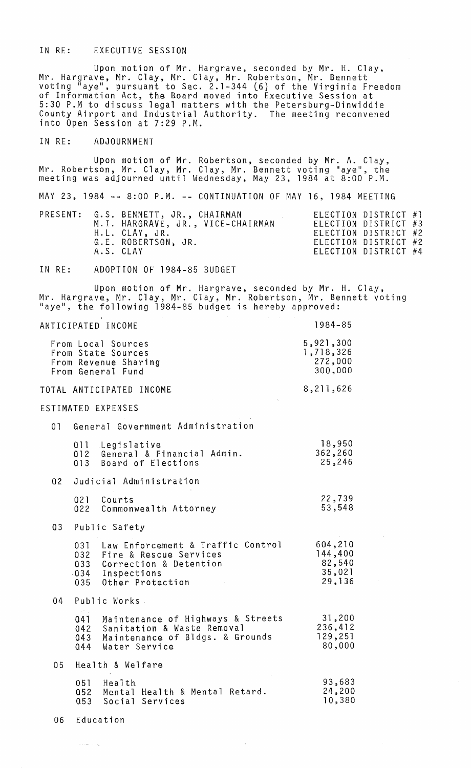#### IN RE: EXECUTIVE SESSION

Upon motion of Mr. Hargrave, seconded by Mr. H. Clay, Mr. Hargrave, Mr. Clay, Mr. Clay, Mr. Robertson, Mr. Bennett *voting* "aye", pursuant to Sec. 2.1-344 (6) of the Virginia Freedom of Information Act, the Board *moved* into Executive Session at 5:30 P.M to discuss legal matters with the Petersburg-Dinwiddie County Airport and Industrial Authority. The meeting *reconvened*  into Open Session at 7:29 P.M.

## IN RE: ADJOURNMENT

Upon motion of Mr. Robertson, seconded by Mr. A. Clay, Mr. Robertson, Mr. Clay, Mr. Clay, Mr. Bennett voting "aye", the meeting was adjourned until Wednesday, May 23, 1984 at 8:00 P.M.

|  |  |  |  | MAY 23, 1984 -- 8:00 P.M. -- CONTINUATION OF MAY 16, 1984 MEETING |  |  |                            |  |
|--|--|--|--|-------------------------------------------------------------------|--|--|----------------------------|--|
|  |  |  |  | PRESENT G S RENNETT JR CHAIRMAN                                   |  |  | $\pm 1$ FCTION DISTRICT #1 |  |

|  | YLJLINI.   G.J.  DENNETT, UR.,  GEALRMAN | $\sim$ election district $\pi$ . |                      |  |
|--|------------------------------------------|----------------------------------|----------------------|--|
|  | M.I. HARGRAVE, JR., VICE-CHAIRMAN        | ELECTION DISTRICT #3             |                      |  |
|  | H.L. CLAY, JR.                           |                                  | ELECTION DISTRICT #2 |  |
|  | G.E. ROBERTSON, JR.                      | ELECTION DISTRICT #2             |                      |  |
|  | A.S. CLAY                                |                                  | ELECTION DISTRICT #4 |  |
|  |                                          |                                  |                      |  |

#### IN RE: ADOPTION OF 1984-85 BUDGET

Upon motion of Mr. Hargrave, seconded by Mr. H. Clay, Mr. Hargrave, Mr. Clay, Mr. Clay, Mr. Robertson, Mr. Bennett *voting*  "aye", the following 1984-85 budget is hereby approved:

| ANTICIPATED INCOME                                                                                                                           | $1984 - 85$                                      |
|----------------------------------------------------------------------------------------------------------------------------------------------|--------------------------------------------------|
| From Local Sources<br>From State Sources<br>From Revenue Sharing<br>From General Fund                                                        | 5,921,300<br>1,718,326<br>272,000<br>300,000     |
| TOTAL ANTICIPATED INCOME                                                                                                                     | 8,211,626                                        |
| ESTIMATED EXPENSES                                                                                                                           |                                                  |
| General Government Administration<br>01                                                                                                      |                                                  |
| 011 Legislative<br>012 General & Financial Admin.<br>013 Board of Elections                                                                  | 18,950<br>362,260<br>25,246                      |
| Judicial Administration<br>02 <sub>2</sub>                                                                                                   |                                                  |
| 021<br>Courts<br>022 Commonwealth Attorney                                                                                                   | 22,739<br>53,548                                 |
| Public Safety<br>03 <sub>o</sub>                                                                                                             |                                                  |
| 031 Law Enforcement & Traffic Control<br>032 Fire & Rescue Services<br>033 Correction & Detention<br>034 Inspections<br>035 Other Protection | 604,210<br>144,400<br>82,540<br>35,021<br>29,136 |
| Public Works.<br>04                                                                                                                          |                                                  |
| 041 Maintenance of Highways & Streets<br>042 Sanitation & Waste Removal<br>043<br>Maintenance of Bldgs. & Grounds<br>044<br>Water Service    | 31,200<br>236,412<br>129,251<br>80,000           |
| 05 <sub>1</sub><br>Health & Welfare                                                                                                          |                                                  |
| 051 Health<br>052 Mental Health & Mental Retard.<br>053 Social Services                                                                      | 93,683<br>24,200<br>10,380                       |

06 Education

المستبد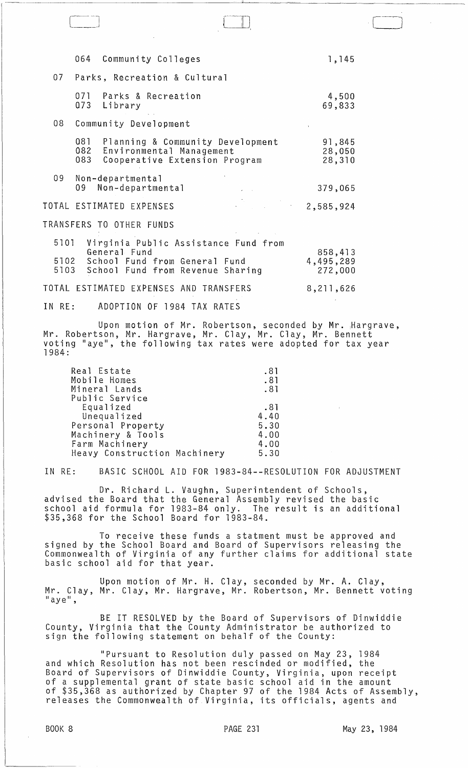|                      |                   | 064 Community Colleges                                                                                                    | 1,145                           |
|----------------------|-------------------|---------------------------------------------------------------------------------------------------------------------------|---------------------------------|
|                      |                   | 07 Parks, Recreation & Cultural                                                                                           |                                 |
|                      |                   | 071 Parks & Recreation<br>073 Library                                                                                     | 4,500<br>69,833                 |
| 08                   |                   | Community Development                                                                                                     |                                 |
|                      | 081<br>082<br>083 | Planning & Community Development<br>Environmental Management<br>Cooperative Extension Program                             | 91,845<br>28,050<br>28,310      |
| 09                   |                   | Non-departmental<br>09 Non-departmental                                                                                   | 379,065                         |
|                      |                   | 2,585,924<br>TOTAL ESTIMATED EXPENSES                                                                                     |                                 |
|                      |                   | TRANSFERS TO OTHER FUNDS                                                                                                  |                                 |
| 5101<br>5102<br>5103 |                   | Virginia Public Assistance Fund from<br>General Fund<br>School Fund from General Fund<br>School Fund from Revenue Sharing | 858,413<br>4,495,289<br>272,000 |
|                      |                   | TOTAL ESTIMATED EXPENSES AND TRANSFERS                                                                                    | 8,211,626                       |

-~--------------~--------~-~~~---~~~--~-~ ---

IN RE: ADOPTION OF 1984 TAX RATES

Upon motion of Mr. Robertson, seconded by Mr.  $\texttt{Hargrave}$  , Mr. Robertson, Mr. Hargrave, Mr. Clay, Mr. Clay, Mr. Bennett voting "aye", the following tax rates were adopted for tax year 1984:

| Real Estate                  | .81  |
|------------------------------|------|
| Mobile Homes                 | .81  |
| Mineral Lands                | .81  |
| Public Service               |      |
| Equalized                    | .81  |
| Unequalized                  | 4.40 |
| Personal Property            | 5.30 |
| Machinery & Tools            | 4.00 |
| Farm Machinery               | 4.00 |
| Heavy Construction Machinery | 5.30 |

IN RE: BASIC SCHOOL AID FOR 1983-84--RESOLUTION FOR ADJUSTMENT

Dr. Richard L. Vaughn, Superintendent of Schools, advised the Board that the General Assembly revised the basic school aid formula for 1983-84 only. \$35,368 for the School Board for 1983-84.

To receive these funds a statment must be approved and signed by the School Board and Board of Supervisors releasing the Commonwealth of Virginia of any further claims for additional state basic school aid for that year.

Upon motion of Mr. H. Clay, seconded by Mr. A. Clay, Mr. Clay, Mr. Clay, Mr. Hargrave, Mr. Robertson, Mr. Bennett voting<br>"aye",

BE IT RESOLVED by the Board of Supervisors of Dinwiddie County, Virginia that the County Administrator be authorized to sign the following statement on behalf of the County:

"Pursuant to Resolution duly passed on May 23, 1984 and which Resolution has not been rescinded or modified, the Board of Supervisors of Dinwiddie County, Virginia, upon receipt of a supplemental grant of state basic school aid in the amount of \$35,368 as authorized by Chapter 97 of the 1984 Acts of Assembly, releases the Commonwealth of Virginia, its officials, agents and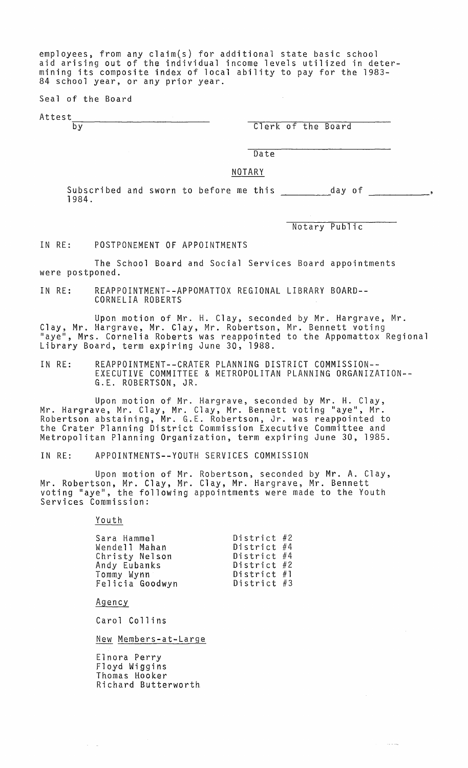employees, from any claim(s) for additional state basic school aid arising out of the individual income levels utilized in determining its composite index of local ability to pay for the 1983- 84 school year, or any prior year.

Seal of the Board

Attest.

by Clerk of the Board

Date

NOTARY

Subscribed and sworn to before me this \_\_\_\_\_\_\_\_\_\_\_day of<br>1984.

Notary Public

 $\sim$   $\sim$ 

IN RE: POSTPONEMENT OF APPOINTMENTS

The School Board and Social Services Board appointments were postponed.

IN RE: REAPPOINTMENT--APPOMATTOX REGIONAL LIBRARY BOARD-- CORNELIA ROBERTS

Upon motion of Mr. H. Clay, seconded by Mr. Hargrave, Mr. Clay, Mr. Hargrave, Mr. Clay, Mr. Robertson, Mr. Bennett voting "aye", Mrs. Cornelia Roberts was reappointed to the Appomattox Regional Library Board, term expiring June 30, 1988.

IN RE: REAPPOINTMENT--CRATER PLANNING DISTRICT COMMISSION-- EXECUTIVE COMMITTEE & METROPOLITAN PLANNING ORGANIZATION-- G.E. ROBERTSON, JR.

Upon motion of Mr. Hargrave, seconded by Mr. H. Clay, Mr. Hargrave, Mr. Clay, Mr. Clay, Mr. Bennett voting "aye", Mr. Robertson abstaining, Mr. G.E. Robertson, Jr. was reappointed to the Crater Planning District Commission Executive Committee and Metropolitan Planning Organization, term expiring June 30, 1985.

IN RE: APPOINTMENTS--YOUTH SERVICES COMMISSION

Upon motion of Mr. Robertson, seconded by Mr. A. Clay, Mr. Robertson, Mr. Clay, Mr. Clay, Mr. Hargrave, Mr. Bennett voting "aye", the following appointments were made to the Youth Services Commission:

Youth

| Sara Hammel     | District $#2$ |  |
|-----------------|---------------|--|
| Wendell Mahan   | District #4   |  |
|                 |               |  |
| Christy Nelson  | District #4   |  |
| Andy Eubanks    | District #2   |  |
| Tommy Wynn      | District #1   |  |
| Felicia Goodwyn | District $#3$ |  |

Agency

 $\alpha=1/2$ 

Carol Collins

New Members-at-Large

Elnora Perry Floyd Wiggins Thomas Hooker Richard Butterworth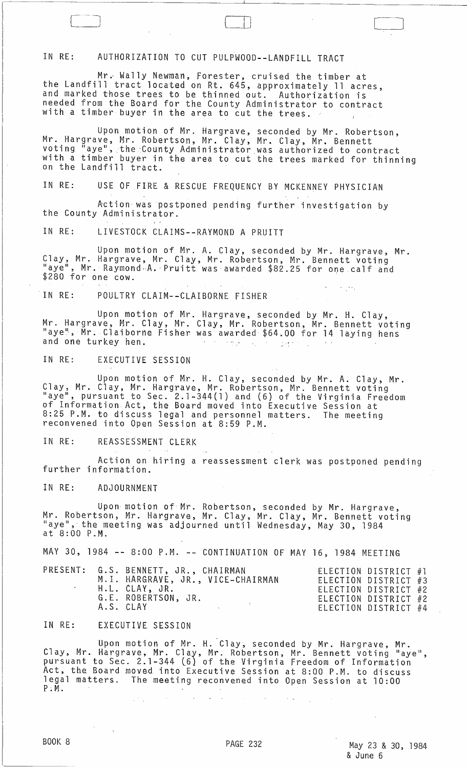## IN RE: AUTHORIZATION TO CUT PULPWOOD--LANDFILL TRACT

Mr. Wally Newman, Forester, cruised the timber at the Landfill tract located on Rt. 645, approximately 11 acres, and marked those trees to be thinned out. Authorization is needed from the Board for the County Administrator to contract with a timber buyer in the area to cut the trees.

Upon motion of Mr. Hargrave, seconded by Mr. Robertson, Mr. Hargrave, Mr. Robertson, Mr. Clay, Mr. Clay, Mr. Bennett voting "aye", the County Administrator was authorized to contract with a timber buyer in the area to cut the trees marked for thinning on the Landfill tract.

OJ CHRISTIAN CHRISTIAN CHRISTIAN CHRISTIAN CHRISTIAN CHRISTIAN CHRISTIAN CHRISTIAN CHRISTIAN CHRISTIAN CHRISTIAN CHRISTIAN CHRISTIAN CHRISTIAN CHRISTIAN CHRISTIAN CHRISTIAN CHRISTIAN CHRISTIAN CHRISTIAN CHRISTIAN CHRISTIAN

, , , , , ,

IN RE: USE OF FIRE & RESCUE FREQUENCY BY MCKENNEY PHYSICIAN

Action was postponed pending further investigation by the County Administrator.

IN RE: LIVESTOCK CLAIMS--RAYMOND A PRUITT

Upon motion of Mr. A. Clay, seconded by Mr. Hargrave, Mr. Clay, Mr. Hargrave, Mr. Clay, Mr. Robertson, Mr. Bennett voting<br>"aye", Mr. Raymond<sub>'</sub>A. Pruitt was awarded \$82.25 for one calf and \$280 for one cow.

IN RE: POULTRY CLAIM--CLAIBORNE FISHER

Upon motion of Mr. Hargrave, seconded by Mr. H. Clay, Mr. Hargrave, Mr. Clay, Mr. Clay, Mr. Robertson, Mr. Bennett voting "aye", Mr. Claiborne Fisher was awarded \$64.00 for 14 laying hens and one turkey hen. ing and

IN RE: EXECUTIVE SESSION

Upon motion of Mr. H. Clay, seconded by Mr. A. Clay, Mr. Clay, Mr. Clay, Mr. Hargrave, Mr. Robertson, Mr. Bennett voting "aye", pursuant to Sec. 2.1-344(1) and (6) of the Virginia Freedom of Information.Act, the Board moved into Executive Session at 8:25 P.M. to discuss legal and personnel matters. The meeting<br>reconvened into Open Session at 8:59 P.M.

IN RE: REASSESSMENT CLERK

Action on hiring a reassessment clerk was postponed pending<br>further information.

IN RE: ADJOURNMENT

Upon motion of Mr. Robertson, seconded by Mr. Hargrave, Mr. Robertson, Mr. Hargrave, Mr. Clay, Mr. Clay, Mr. Bennett voting<br>"aye", the meeting was adjourned until Wednesday, May 30, 1984 at 8:00 P.M.

MAY 30, 1984 -~ 8:00 P.M. -- CONTINUATION OF MAY 16, 1984 MEETING

|  |  | PRESENT: G.S. BENNETT, JR., CHAIRMAN<br>M.I. HARGRAVE, JR., VICE-CHAIRMAN<br>H.L. CLAY, JR.<br>G.E. ROBERTSON, JR.<br>A.S. CLAY |  |  | ELECTION DISTRICT #1<br>ELECTION DISTRICT #3<br>ELECTION DISTRICT #2<br>ELECTION DISTRICT #2<br>ELECTION DISTRICT #4 |  |
|--|--|---------------------------------------------------------------------------------------------------------------------------------|--|--|----------------------------------------------------------------------------------------------------------------------|--|
|--|--|---------------------------------------------------------------------------------------------------------------------------------|--|--|----------------------------------------------------------------------------------------------------------------------|--|

## IN RE: EXECUTIVE SESSION

 $\mathbb{R}^{n+1}$ 

Upon motion of Mr. H. Clay, seconded by Mr. Hargrave, Mr. Clay, Mr. Hargrave, Mr. Clay, Mr. Robertson, Mr. Bennett voting "aye", pursuant to Sec. 2.1-344 (6) of the Virginia Freedom of Information Act, the Board moved into Executive Session at 8:00 P.M. to discuss<br>legal matters. The meeting reconvened into Open Session at 10:00 The meeting reconvened into Open Session at 10:00 P; M.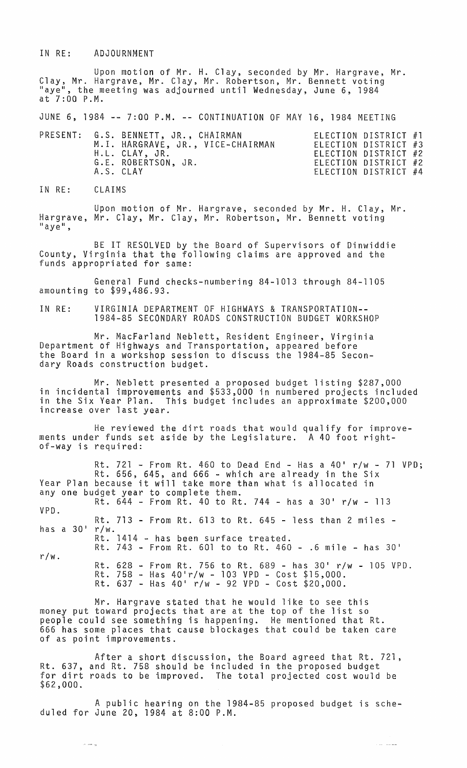IN RE: ADJOURNMENT

Upon motion of Mr. H. Clay, seconded by Mr. Hargrave, Mr. Clay, Mr. Hargrave, Mr. Clay, Mr. Robertson, Mr. Bennett voting "aye", the meeting was adjourned until Wednesday, June 6, 1984 at 7:00 P.M.

JUNE 6, 1984 **--** 7:00 P.M. **--** CONTINUATION OF MAY 16, 1984 MEETING

|           | PRESENT: G.S. BENNETT, JR., CHAIRMAN<br>M.I. HARGRAVE, JR., VICE-CHAIRMAN<br>H.L. CLAY, JR.<br>G.E. ROBERTSON, JR. | ELECTION DISTRICT #1<br>ELECTION DISTRICT #3<br>ELECTION DISTRICT #2<br>ELECTION DISTRICT #2 |  |
|-----------|--------------------------------------------------------------------------------------------------------------------|----------------------------------------------------------------------------------------------|--|
| A.S. CLAY |                                                                                                                    | ELECTION DISTRICT #4                                                                         |  |

IN RE: CLAIMS

 $\sim$   $\sim$   $\sim$   $\sim$ 

Upon motion of Mr. Hargrave, seconded by Mr. H. Clay, Mr. Hargrave, Mr. Clay, Mr. Clay, Mr. Robertson, Mr. Bennett voting<br>"aye",

BE IT RESOLVED by the Board of Supervisors of Dinwiddie County, Virginia that the following claims are approved and the funds appropriated for same:

General Fund checks-numbering 84-1013 through 84-1105 amounting to \$99,486.93.

IN RE: VIRGINIA DEPARTMENT OF HIGHWAYS & TRANSPORTATION-- 1984-85 SECONDARY ROADS CONSTRUCTION BUDGET WORKSHOP

Mr. MacFarland Neblett, Resident Engineer, Virginia Department of Highways and Transportation, appeared before the Board in a workshop session to discuss the 1984-85 Secondary Roads construction budget.

Mr. Neblett presented a proposed budget listing \$287,000 in incidental improvements and \$533,000 in numbered projects included in the Six Year Plan. This budget includes an approximate \$200,000 increase over last year.

He reviewed the dirt roads that would qualify for improvements under funds set aside by the Legislature. A 40 foot rightof-way is required:

|                  | Rt. 721 - From Rt. 460 to Dead End - Has a 40' $r/w$ - 71 VPD; |
|------------------|----------------------------------------------------------------|
|                  | Rt. 656, 645, and 666 - which are already in the Six           |
|                  | Year Plan because it will take more than what is allocated in  |
|                  | any one budget year to complete them.                          |
|                  | Rt. $644$ - From Rt. 40 to Rt. 744 - has a 30' r/w - 113       |
| VPD.             |                                                                |
|                  | Rt. 713 - From Rt. 613 to Rt. 645 - less than 2 miles -        |
| has a $30'$ r/w. |                                                                |
|                  | Rt. 1414 - has been surface treated.                           |
|                  | Rt. 743 - From Rt. 601 to to Rt. 460 - .6 mile - has 30'       |
| $r/w$ .          |                                                                |
|                  | Rt. 628 - From Rt. 756 to Rt. 689 - has 30' r/w - 105 VPD.     |
|                  | Rt. 758 - Has $40'$ r/w - 103 VPD - Cost \$15,000.             |
|                  | Rt. $637$ - Has $40'$ r/w - 92 VPD - Cost \$20,000.            |

Mr. Hargrave stated that he would like to see this money put toward projects that are at the top of the list so people could see something is happening. He mentioned that Rt. 666 has some places that cause blockages that could be taken care of as point improvements.

After a short discussion, the Board agreed that Rt. 721, Rt. 637, and Rt. 758 should be included in the proposed budget for dirt roads to be improved. The total projected cost would be \$62,000.

A public hearing on the 1984-85 proposed budget is scheduled for June 20, 1984 at 8:00 P.M.

بلطانك الكارة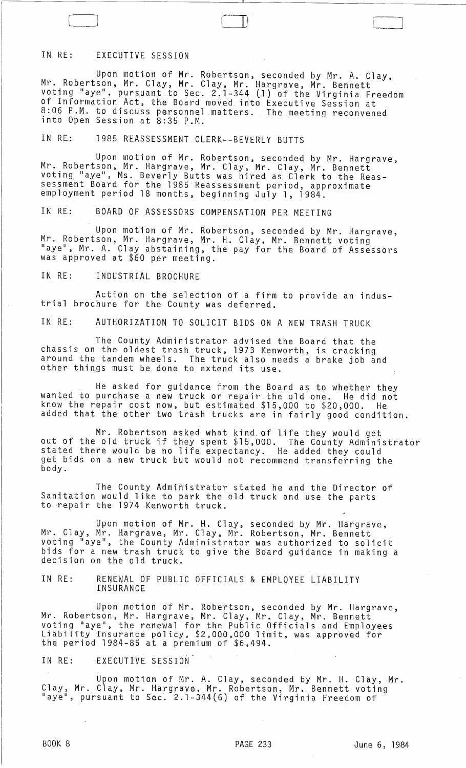# IN RE: EXECUTIVE SESSION

Upon motion of Mr. Robertson, seconded by Mr. A. Clay, Mr. Robertson, Mr. Clay, Mr. Clay, Mr. Hargrave, Mr. Bennett voting "aye", pursuant to Sec. 2.1-344 (1) of the Virginia Freedom of Information Act, the Board moved into Executive Session at 8:06 P.M. to discuss personnel matters. The meeting reconvened into Open Session at 8:35 P.M.

IN RE: 1985 REASSESSMENT CLERK--BEVERLY BUTTS

Upon motion of Mr. Robertson, seconded by Mr. Hargrave,<br>Mr. Robertson, Mr. Hargrave, Mr. Clay, Mr. Clay, Mr. Bennett voting "aye", Ms. Beverly Butts was hired as Clerk to the Reassessment Board for the 1985 Reassessment period, approximate employment period 18 months, beginning July 1, 1984.

IN RE: BOARD OF ASSESSORS COMPENSATION PER MEETING

Upon motion of Mr. Robertson, seconded by Mr. Hargrave, Mr. Robertson, Mr. Hargrave, Mr. H. Clay, Mr. Bennett voting "aye", Mr. A. Clay abstaining, the pay for the Board of Assessors was approved at \$60 per meeting.

IN RE: INDUSTRIAL BROCHURE

Action on the selection of a firm to provide an industrial brochure for the County was deferred.

IN RE: AUTHORIZATION TO SOLICIT BIDS ON A NEW TRASH TRUCK

The County Administrator advised the Board that the chassis on the oldest trash truck, 1973 Kenworth, is cracking around the tandem wheels. The truck also needs a brake job and other things must be done to extend its use.

He asked for gUidance from the Board as to whether they wanted to purchase a new truck or repair. the old one. He did not know the repair cost now, but estimated \$15,000 to \$20,000. He added that the other two trash trucks are in fairly good condition.

Mr. Robertson asked what kind.of life they would get out of the old truck if they spent \$15,000. The County Administrator stated there would be no life expectancy. He added they could get bids on a new truck but would not recommend transferring the body.

The County Administrator stated he and the Director of Sanitation would like to park the old truck and use the parts to repair the 1974 Kenworth truck.

Upon motion of Mr. H. Clay, seconded by Mr. Hargrave, Mr. Clay, Mr. Hargrave, Mr. Clay, Mr. Robertson, Mr. Bennett voting "aye", the County Administrator was authorized to solicit bids for a new trash truck to give the Board guidance in making a decision on the old truck.

IN RE: RENEWAL OF PUBLIC OFFICIALS & EMPLOYEE LIABILITY INSURANCE

Upon motion of Mr. Robertson, seconded by Mr. Hargrave, Mr. Robertson, Mr. Hargrave, Mr. Clay, Mr. Clay, Mr. Bennett voting "aye", the renewal for the Public Officials and Employees Liability Insurance policy, \$2,OOO~OOO limit, was approved for the period 1984-85 at a premium of \$6,494.

IN RE: EXECUTIVE SESSION

Upon motion of Mr. A. Clay, seconded by Mr. H. Clay, Mr. Clay, Mr. Clay, Mr. Hargrave, Mr. Robertson, Mr. Bennett voting "aye", pursuant to Sec. 2.1-344 (6) of the Virginia Freedom of